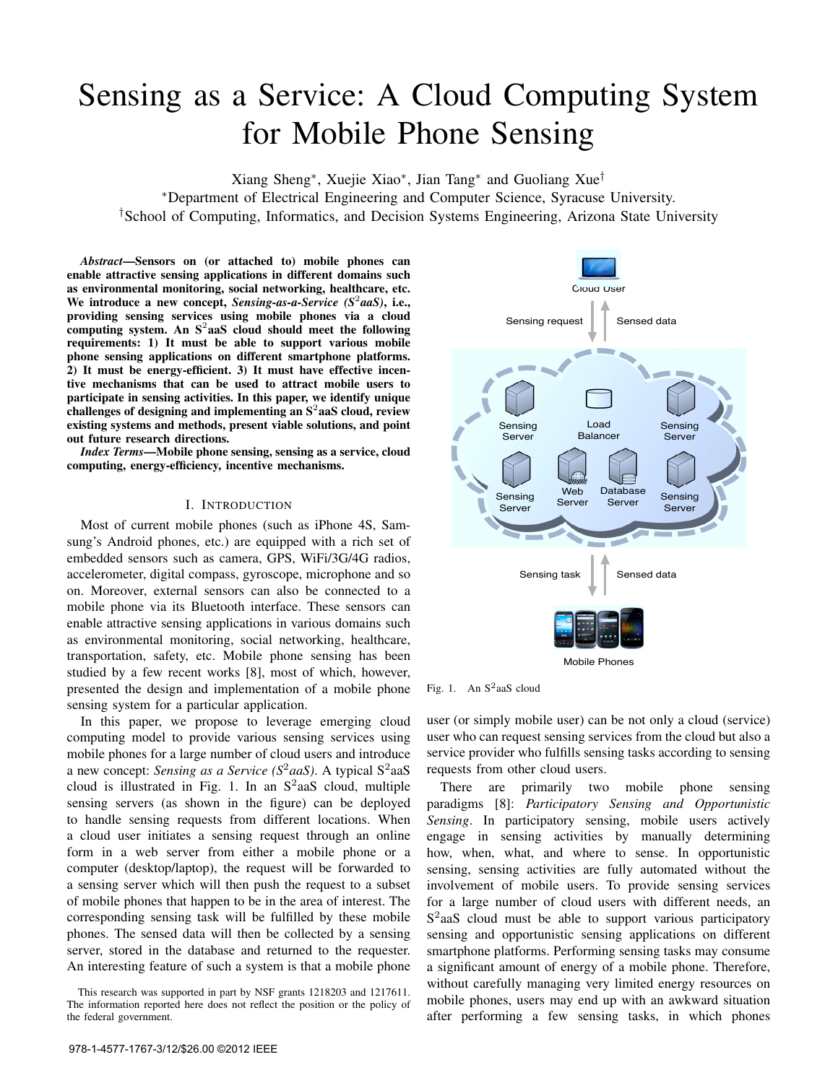# Sensing as a Service: A Cloud Computing System for Mobile Phone Sensing

Xiang Sheng*∗* , Xuejie Xiao*∗* , Jian Tang*∗* and Guoliang Xue*† ∗*Department of Electrical Engineering and Computer Science, Syracuse University. *†*School of Computing, Informatics, and Decision Systems Engineering, Arizona State University

*Abstract*—Sensors on (or attached to) mobile phones can enable attractive sensing applications in different domains such as environmental monitoring, social networking, healthcare, etc. We introduce a new concept, *Sensing-as-a-Service* (S<sup>2</sup>aaS), i.e., providing sensing services using mobile phones via a cloud computing system. An  $S^2$ aa $S$  cloud should meet the following requirements: 1) It must be able to support various mobile phone sensing applications on different smartphone platforms. 2) It must be energy-efficient. 3) It must have effective incentive mechanisms that can be used to attract mobile users to participate in sensing activities. In this paper, we identify unique challenges of designing and implementing an  $S^2$ aaS cloud, review existing systems and methods, present viable solutions, and point out future research directions.

*Index Terms*—Mobile phone sensing, sensing as a service, cloud computing, energy-efficiency, incentive mechanisms.

# I. INTRODUCTION

Most of current mobile phones (such as iPhone 4S, Samsung's Android phones, etc.) are equipped with a rich set of embedded sensors such as camera, GPS, WiFi/3G/4G radios, accelerometer, digital compass, gyroscope, microphone and so on. Moreover, external sensors can also be connected to a mobile phone via its Bluetooth interface. These sensors can enable attractive sensing applications in various domains such as environmental monitoring, social networking, healthcare, transportation, safety, etc. Mobile phone sensing has been studied by a few recent works [8], most of which, however, presented the design and implementation of a mobile phone sensing system for a particular application.

In this paper, we propose to leverage emerging cloud computing model to provide various sensing services using mobile phones for a large number of cloud users and introduce a new concept: *Sensing as a Service* (S<sup>2</sup>aaS). A typical S<sup>2</sup>aaS cloud is illustrated in Fig. 1. In an  $S^2$ aaS cloud, multiple sensing servers (as shown in the figure) can be deployed to handle sensing requests from different locations. When a cloud user initiates a sensing request through an online form in a web server from either a mobile phone or a computer (desktop/laptop), the request will be forwarded to a sensing server which will then push the request to a subset of mobile phones that happen to be in the area of interest. The corresponding sensing task will be fulfilled by these mobile phones. The sensed data will then be collected by a sensing server, stored in the database and returned to the requester. An interesting feature of such a system is that a mobile phone



Fig. 1. An  $S^2$ aaS cloud

user (or simply mobile user) can be not only a cloud (service) user who can request sensing services from the cloud but also a service provider who fulfills sensing tasks according to sensing requests from other cloud users.

There are primarily two mobile phone sensing paradigms [8]: *Participatory Sensing and Opportunistic Sensing*. In participatory sensing, mobile users actively engage in sensing activities by manually determining how, when, what, and where to sense. In opportunistic sensing, sensing activities are fully automated without the involvement of mobile users. To provide sensing services for a large number of cloud users with different needs, an S 2 aaS cloud must be able to support various participatory sensing and opportunistic sensing applications on different smartphone platforms. Performing sensing tasks may consume a significant amount of energy of a mobile phone. Therefore, without carefully managing very limited energy resources on mobile phones, users may end up with an awkward situation after performing a few sensing tasks, in which phones

This research was supported in part by NSF grants 1218203 and 1217611. The information reported here does not reflect the position or the policy of the federal government.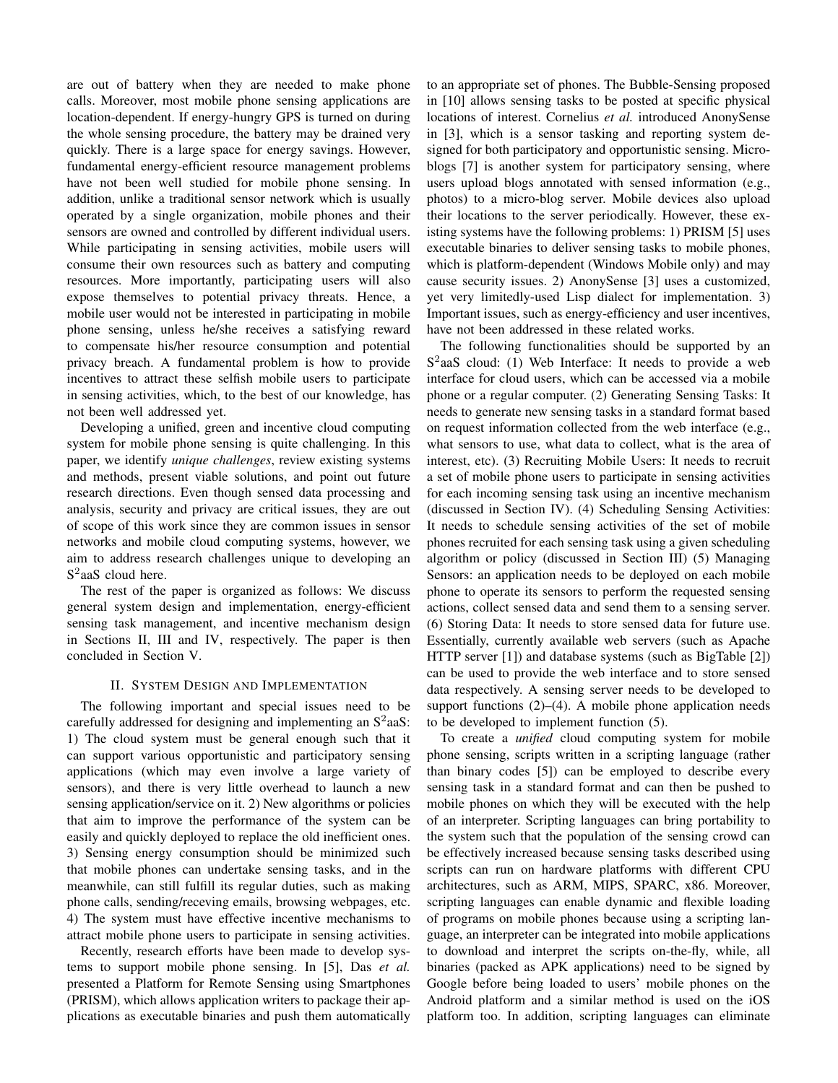are out of battery when they are needed to make phone calls. Moreover, most mobile phone sensing applications are location-dependent. If energy-hungry GPS is turned on during the whole sensing procedure, the battery may be drained very quickly. There is a large space for energy savings. However, fundamental energy-efficient resource management problems have not been well studied for mobile phone sensing. In addition, unlike a traditional sensor network which is usually operated by a single organization, mobile phones and their sensors are owned and controlled by different individual users. While participating in sensing activities, mobile users will consume their own resources such as battery and computing resources. More importantly, participating users will also expose themselves to potential privacy threats. Hence, a mobile user would not be interested in participating in mobile phone sensing, unless he/she receives a satisfying reward to compensate his/her resource consumption and potential privacy breach. A fundamental problem is how to provide incentives to attract these selfish mobile users to participate in sensing activities, which, to the best of our knowledge, has not been well addressed yet.

Developing a unified, green and incentive cloud computing system for mobile phone sensing is quite challenging. In this paper, we identify *unique challenges*, review existing systems and methods, present viable solutions, and point out future research directions. Even though sensed data processing and analysis, security and privacy are critical issues, they are out of scope of this work since they are common issues in sensor networks and mobile cloud computing systems, however, we aim to address research challenges unique to developing an S<sup>2</sup>aaS cloud here.

The rest of the paper is organized as follows: We discuss general system design and implementation, energy-efficient sensing task management, and incentive mechanism design in Sections II, III and IV, respectively. The paper is then concluded in Section V.

## II. SYSTEM DESIGN AND IMPLEMENTATION

The following important and special issues need to be carefully addressed for designing and implementing an  $S^2$ aaS: 1) The cloud system must be general enough such that it can support various opportunistic and participatory sensing applications (which may even involve a large variety of sensors), and there is very little overhead to launch a new sensing application/service on it. 2) New algorithms or policies that aim to improve the performance of the system can be easily and quickly deployed to replace the old inefficient ones. 3) Sensing energy consumption should be minimized such that mobile phones can undertake sensing tasks, and in the meanwhile, can still fulfill its regular duties, such as making phone calls, sending/receving emails, browsing webpages, etc. 4) The system must have effective incentive mechanisms to attract mobile phone users to participate in sensing activities.

Recently, research efforts have been made to develop systems to support mobile phone sensing. In [5], Das *et al.* presented a Platform for Remote Sensing using Smartphones (PRISM), which allows application writers to package their applications as executable binaries and push them automatically to an appropriate set of phones. The Bubble-Sensing proposed in [10] allows sensing tasks to be posted at specific physical locations of interest. Cornelius *et al.* introduced AnonySense in [3], which is a sensor tasking and reporting system designed for both participatory and opportunistic sensing. Microblogs [7] is another system for participatory sensing, where users upload blogs annotated with sensed information (e.g., photos) to a micro-blog server. Mobile devices also upload their locations to the server periodically. However, these existing systems have the following problems: 1) PRISM [5] uses executable binaries to deliver sensing tasks to mobile phones, which is platform-dependent (Windows Mobile only) and may cause security issues. 2) AnonySense [3] uses a customized, yet very limitedly-used Lisp dialect for implementation. 3) Important issues, such as energy-efficiency and user incentives, have not been addressed in these related works.

The following functionalities should be supported by an S<sup>2</sup>aaS cloud: (1) Web Interface: It needs to provide a web interface for cloud users, which can be accessed via a mobile phone or a regular computer. (2) Generating Sensing Tasks: It needs to generate new sensing tasks in a standard format based on request information collected from the web interface (e.g., what sensors to use, what data to collect, what is the area of interest, etc). (3) Recruiting Mobile Users: It needs to recruit a set of mobile phone users to participate in sensing activities for each incoming sensing task using an incentive mechanism (discussed in Section IV). (4) Scheduling Sensing Activities: It needs to schedule sensing activities of the set of mobile phones recruited for each sensing task using a given scheduling algorithm or policy (discussed in Section III) (5) Managing Sensors: an application needs to be deployed on each mobile phone to operate its sensors to perform the requested sensing actions, collect sensed data and send them to a sensing server. (6) Storing Data: It needs to store sensed data for future use. Essentially, currently available web servers (such as Apache HTTP server [1]) and database systems (such as BigTable [2]) can be used to provide the web interface and to store sensed data respectively. A sensing server needs to be developed to support functions (2)–(4). A mobile phone application needs to be developed to implement function (5).

To create a *unified* cloud computing system for mobile phone sensing, scripts written in a scripting language (rather than binary codes [5]) can be employed to describe every sensing task in a standard format and can then be pushed to mobile phones on which they will be executed with the help of an interpreter. Scripting languages can bring portability to the system such that the population of the sensing crowd can be effectively increased because sensing tasks described using scripts can run on hardware platforms with different CPU architectures, such as ARM, MIPS, SPARC, x86. Moreover, scripting languages can enable dynamic and flexible loading of programs on mobile phones because using a scripting language, an interpreter can be integrated into mobile applications to download and interpret the scripts on-the-fly, while, all binaries (packed as APK applications) need to be signed by Google before being loaded to users' mobile phones on the Android platform and a similar method is used on the iOS platform too. In addition, scripting languages can eliminate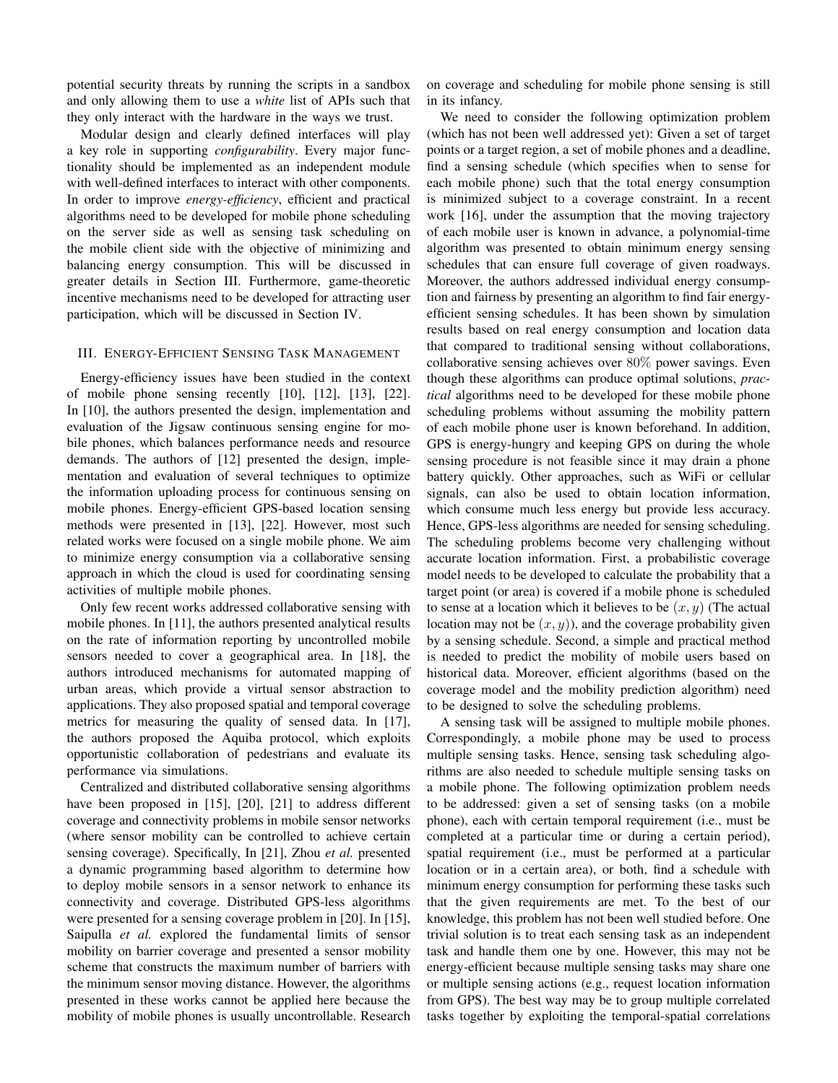potential security threats by running the scripts in a sandbox and only allowing them to use a *white* list of APIs such that they only interact with the hardware in the ways we trust.

Modular design and clearly defined interfaces will play a key role in supporting *configurability*. Every major functionality should be implemented as an independent module with well-defined interfaces to interact with other components. In order to improve *energy-efficiency*, efficient and practical algorithms need to be developed for mobile phone scheduling on the server side as well as sensing task scheduling on the mobile client side with the objective of minimizing and balancing energy consumption. This will be discussed in greater details in Section III. Furthermore, game-theoretic incentive mechanisms need to be developed for attracting user participation, which will be discussed in Section IV.

# III. ENERGY-EFFICIENT SENSING TASK MANAGEMENT

Energy-efficiency issues have been studied in the context of mobile phone sensing recently [10], [12], [13], [22]. In [10], the authors presented the design, implementation and evaluation of the Jigsaw continuous sensing engine for mobile phones, which balances performance needs and resource demands. The authors of [12] presented the design, implementation and evaluation of several techniques to optimize the information uploading process for continuous sensing on mobile phones. Energy-efficient GPS-based location sensing methods were presented in [13], [22]. However, most such related works were focused on a single mobile phone. We aim to minimize energy consumption via a collaborative sensing approach in which the cloud is used for coordinating sensing activities of multiple mobile phones.

Only few recent works addressed collaborative sensing with mobile phones. In [11], the authors presented analytical results on the rate of information reporting by uncontrolled mobile sensors needed to cover a geographical area. In [18], the authors introduced mechanisms for automated mapping of urban areas, which provide a virtual sensor abstraction to applications. They also proposed spatial and temporal coverage metrics for measuring the quality of sensed data. In [17], the authors proposed the Aquiba protocol, which exploits opportunistic collaboration of pedestrians and evaluate its performance via simulations.

Centralized and distributed collaborative sensing algorithms have been proposed in [15], [20], [21] to address different coverage and connectivity problems in mobile sensor networks (where sensor mobility can be controlled to achieve certain sensing coverage). Specifically, In [21], Zhou *et al.* presented a dynamic programming based algorithm to determine how to deploy mobile sensors in a sensor network to enhance its connectivity and coverage. Distributed GPS-less algorithms were presented for a sensing coverage problem in [20]. In [15], Saipulla *et al.* explored the fundamental limits of sensor mobility on barrier coverage and presented a sensor mobility scheme that constructs the maximum number of barriers with the minimum sensor moving distance. However, the algorithms presented in these works cannot be applied here because the mobility of mobile phones is usually uncontrollable. Research on coverage and scheduling for mobile phone sensing is still in its infancy.

We need to consider the following optimization problem (which has not been well addressed yet): Given a set of target points or a target region, a set of mobile phones and a deadline, find a sensing schedule (which specifies when to sense for each mobile phone) such that the total energy consumption is minimized subject to a coverage constraint. In a recent work [16], under the assumption that the moving trajectory of each mobile user is known in advance, a polynomial-time algorithm was presented to obtain minimum energy sensing schedules that can ensure full coverage of given roadways. Moreover, the authors addressed individual energy consumption and fairness by presenting an algorithm to find fair energyefficient sensing schedules. It has been shown by simulation results based on real energy consumption and location data that compared to traditional sensing without collaborations, collaborative sensing achieves over 80% power savings. Even though these algorithms can produce optimal solutions, *practical* algorithms need to be developed for these mobile phone scheduling problems without assuming the mobility pattern of each mobile phone user is known beforehand. In addition, GPS is energy-hungry and keeping GPS on during the whole sensing procedure is not feasible since it may drain a phone battery quickly. Other approaches, such as WiFi or cellular signals, can also be used to obtain location information, which consume much less energy but provide less accuracy. Hence, GPS-less algorithms are needed for sensing scheduling. The scheduling problems become very challenging without accurate location information. First, a probabilistic coverage model needs to be developed to calculate the probability that a target point (or area) is covered if a mobile phone is scheduled to sense at a location which it believes to be (*x, y*) (The actual location may not be  $(x, y)$ , and the coverage probability given by a sensing schedule. Second, a simple and practical method is needed to predict the mobility of mobile users based on historical data. Moreover, efficient algorithms (based on the coverage model and the mobility prediction algorithm) need to be designed to solve the scheduling problems.

A sensing task will be assigned to multiple mobile phones. Correspondingly, a mobile phone may be used to process multiple sensing tasks. Hence, sensing task scheduling algorithms are also needed to schedule multiple sensing tasks on a mobile phone. The following optimization problem needs to be addressed: given a set of sensing tasks (on a mobile phone), each with certain temporal requirement (i.e., must be completed at a particular time or during a certain period), spatial requirement (i.e., must be performed at a particular location or in a certain area), or both, find a schedule with minimum energy consumption for performing these tasks such that the given requirements are met. To the best of our knowledge, this problem has not been well studied before. One trivial solution is to treat each sensing task as an independent task and handle them one by one. However, this may not be energy-efficient because multiple sensing tasks may share one or multiple sensing actions (e.g., request location information from GPS). The best way may be to group multiple correlated tasks together by exploiting the temporal-spatial correlations